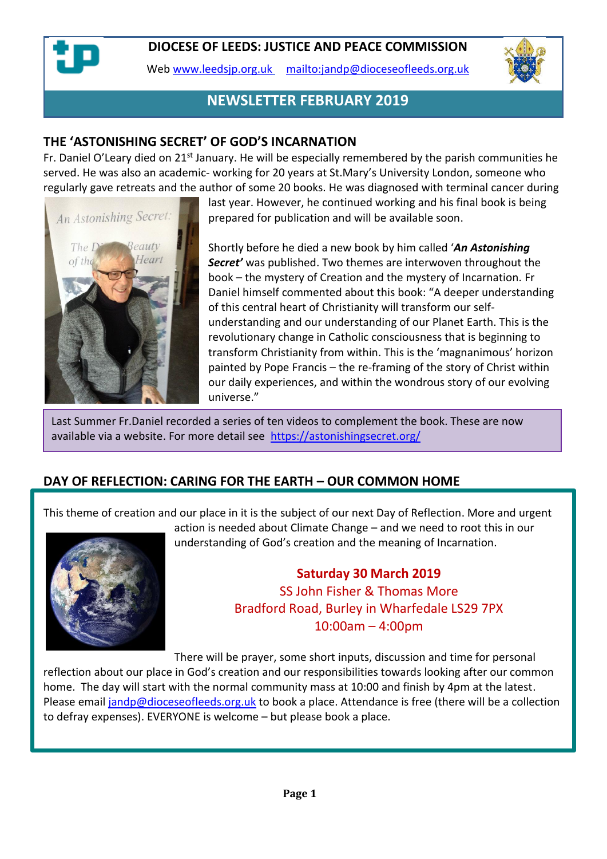

Web [www.leedsjp.org.uk](http://www.leedsjp.org.uk/) <mailto:jandp@dioceseofleeds.org.uk>



## **NEWSLETTER FEBRUARY 2019**

#### **THE 'ASTONISHING SECRET' OF GOD'S INCARNATION**

Fr. Daniel O'Leary died on 21<sup>st</sup> January. He will be especially remembered by the parish communities he served. He was also an academic- working for 20 years at St.Mary's University London, someone who regularly gave retreats and the author of some 20 books. He was diagnosed with terminal cancer during



last year. However, he continued working and his final book is being prepared for publication and will be available soon.

Shortly before he died a new book by him called '*An Astonishing Secret'* was published. Two themes are interwoven throughout the book – the mystery of Creation and the mystery of Incarnation. Fr Daniel himself commented about this book: "A deeper understanding of this central heart of Christianity will transform our selfunderstanding and our understanding of our Planet Earth. This is the revolutionary change in Catholic consciousness that is beginning to transform Christianity from within. This is the 'magnanimous' horizon painted by Pope Francis – the re-framing of the story of Christ within our daily experiences, and within the wondrous story of our evolving universe."

Last Summer Fr.Daniel recorded a series of ten videos to complement the book. These are now available via a website. For more detail see <https://astonishingsecret.org/>

#### **DAY OF REFLECTION: CARING FOR THE EARTH – OUR COMMON HOME**

This theme of creation and our place in it is the subject of our next Day of Reflection. More and urgent



action is needed about Climate Change – and we need to root this in our understanding of God's creation and the meaning of Incarnation.

> **Saturday 30 March 2019** SS John Fisher & Thomas More Bradford Road, Burley in Wharfedale LS29 7PX 10:00am – 4:00pm

There will be prayer, some short inputs, discussion and time for personal reflection about our place in God's creation and our responsibilities towards looking after our common home. The day will start with the normal community mass at 10:00 and finish by 4pm at the latest. Please email [jandp@dioceseofleeds.org.uk](mailto:jandp@dioceseofleeds.org.uk) to book a place. Attendance is free (there will be a collection to defray expenses). EVERYONE is welcome – but please book a place.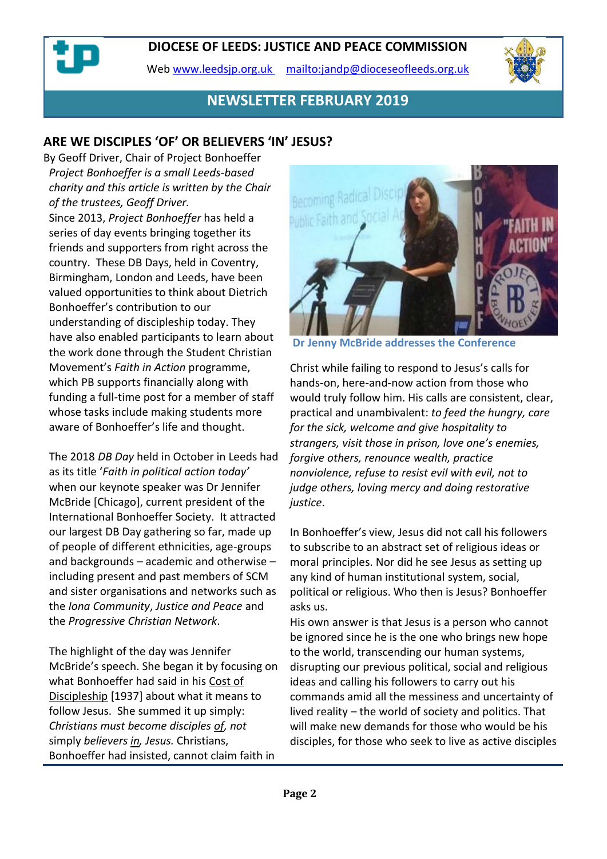Web [www.leedsjp.org.uk](http://www.leedsjp.org.uk/) <mailto:jandp@dioceseofleeds.org.uk>



## **NEWSLETTER FEBRUARY 2019**

### **ARE WE DISCIPLES 'OF' OR BELIEVERS 'IN' JESUS?**

By Geoff Driver, Chair of Project Bonhoeffer *Project Bonhoeffer is a small Leeds-based charity and this article is written by the Chair of the trustees, Geoff Driver.* Since 2013, *Project Bonhoeffer* has held a series of day events bringing together its friends and supporters from right across the country. These DB Days, held in Coventry, Birmingham, London and Leeds, have been valued opportunities to think about Dietrich Bonhoeffer's contribution to our understanding of discipleship today. They have also enabled participants to learn about the work done through the Student Christian Movement's *Faith in Action* programme, which PB supports financially along with funding a full-time post for a member of staff whose tasks include making students more aware of Bonhoeffer's life and thought.

The 2018 *DB Day* held in October in Leeds had as its title '*Faith in political action today'* when our keynote speaker was Dr Jennifer McBride [Chicago], current president of the International Bonhoeffer Society. It attracted our largest DB Day gathering so far, made up of people of different ethnicities, age-groups and backgrounds – academic and otherwise – including present and past members of SCM and sister organisations and networks such as the *Iona Community*, *Justice and Peace* and the *Progressive Christian Network*.

The highlight of the day was Jennifer McBride's speech. She began it by focusing on what Bonhoeffer had said in his Cost of Discipleship [1937] about what it means to follow Jesus. She summed it up simply: *Christians must become disciples of, not*  simply *believers in, Jesus.* Christians, Bonhoeffer had insisted, cannot claim faith in



**Dr Jenny McBride addresses the Conference**

Christ while failing to respond to Jesus's calls for hands-on, here-and-now action from those who would truly follow him. His calls are consistent, clear, practical and unambivalent: *to feed the hungry, care for the sick, welcome and give hospitality to strangers, visit those in prison, love one's enemies, forgive others, renounce wealth, practice nonviolence, refuse to resist evil with evil, not to judge others, loving mercy and doing restorative justice*.

In Bonhoeffer's view, Jesus did not call his followers to subscribe to an abstract set of religious ideas or moral principles. Nor did he see Jesus as setting up any kind of human institutional system, social, political or religious. Who then is Jesus? Bonhoeffer asks us.

His own answer is that Jesus is a person who cannot be ignored since he is the one who brings new hope to the world, transcending our human systems, disrupting our previous political, social and religious ideas and calling his followers to carry out his commands amid all the messiness and uncertainty of lived reality – the world of society and politics. That will make new demands for those who would be his disciples, for those who seek to live as active disciples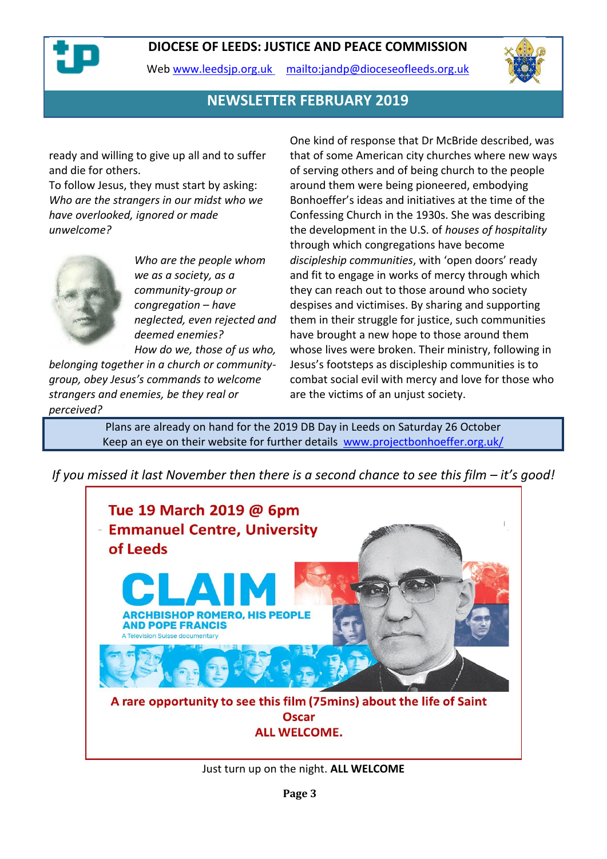

Web [www.leedsjp.org.uk](http://www.leedsjp.org.uk/) <mailto:jandp@dioceseofleeds.org.uk>



## **NEWSLETTER FEBRUARY 2019**

ready and willing to give up all and to suffer and die for others.

To follow Jesus, they must start by asking: *Who are the strangers in our midst who we have overlooked, ignored or made unwelcome?*



*Who are the people whom we as a society, as a community-group or congregation – have neglected, even rejected and deemed enemies? How do we, those of us who,* 

*belonging together in a church or communitygroup, obey Jesus's commands to welcome strangers and enemies, be they real or perceived?*

One kind of response that Dr McBride described, was that of some American city churches where new ways of serving others and of being church to the people around them were being pioneered, embodying Bonhoeffer's ideas and initiatives at the time of the Confessing Church in the 1930s. She was describing the development in the U.S. of *houses of hospitality*  through which congregations have become *discipleship communities*, with 'open doors' ready and fit to engage in works of mercy through which they can reach out to those around who society despises and victimises. By sharing and supporting them in their struggle for justice, such communities have brought a new hope to those around them whose lives were broken. Their ministry, following in Jesus's footsteps as discipleship communities is to combat social evil with mercy and love for those who are the victims of an unjust society.

Plans are already on hand for the 2019 DB Day in Leeds on Saturday 26 October Keep an eye on their website for further details [www.projectbonhoeffer.org.uk/](https://www.projectbonhoeffer.org.uk/)

*If you missed it last November then there is a second chance to see this film – it's good!*



Just turn up on the night. **ALL WELCOME**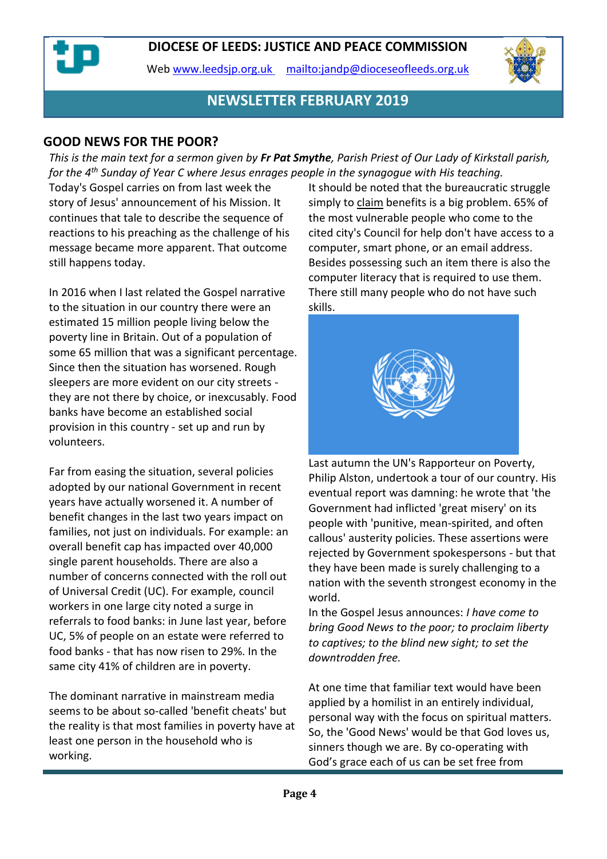Web [www.leedsjp.org.uk](http://www.leedsjp.org.uk/) <mailto:jandp@dioceseofleeds.org.uk>



## **NEWSLETTER FEBRUARY 2019**

#### **GOOD NEWS FOR THE POOR?**

*This is the main text for a sermon given by Fr Pat Smythe, Parish Priest of Our Lady of Kirkstall parish, for the 4th Sunday of Year C where Jesus enrages people in the synagogue with His teaching.*

Today's Gospel carries on from last week the story of Jesus' announcement of his Mission. It continues that tale to describe the sequence of reactions to his preaching as the challenge of his message became more apparent. That outcome still happens today.

In 2016 when I last related the Gospel narrative to the situation in our country there were an estimated 15 million people living below the poverty line in Britain. Out of a population of some 65 million that was a significant percentage. Since then the situation has worsened. Rough sleepers are more evident on our city streets they are not there by choice, or inexcusably. Food banks have become an established social provision in this country - set up and run by volunteers.

Far from easing the situation, several policies adopted by our national Government in recent years have actually worsened it. A number of benefit changes in the last two years impact on families, not just on individuals. For example: an overall benefit cap has impacted over 40,000 single parent households. There are also a number of concerns connected with the roll out of Universal Credit (UC). For example, council workers in one large city noted a surge in referrals to food banks: in June last year, before UC, 5% of people on an estate were referred to food banks - that has now risen to 29%. In the same city 41% of children are in poverty.

The dominant narrative in mainstream media seems to be about so-called 'benefit cheats' but the reality is that most families in poverty have at least one person in the household who is working.

It should be noted that the bureaucratic struggle simply to claim benefits is a big problem. 65% of the most vulnerable people who come to the cited city's Council for help don't have access to a computer, smart phone, or an email address. Besides possessing such an item there is also the computer literacy that is required to use them. There still many people who do not have such skills.



Last autumn the UN's Rapporteur on Poverty, Philip Alston, undertook a tour of our country. His eventual report was damning: he wrote that 'the Government had inflicted 'great misery' on its people with 'punitive, mean-spirited, and often callous' austerity policies. These assertions were rejected by Government spokespersons - but that they have been made is surely challenging to a nation with the seventh strongest economy in the world.

In the Gospel Jesus announces: *I have come to bring Good News to the poor; to proclaim liberty to captives; to the blind new sight; to set the downtrodden free.*

At one time that familiar text would have been applied by a homilist in an entirely individual, personal way with the focus on spiritual matters. So, the 'Good News' would be that God loves us, sinners though we are. By co-operating with God's grace each of us can be set free from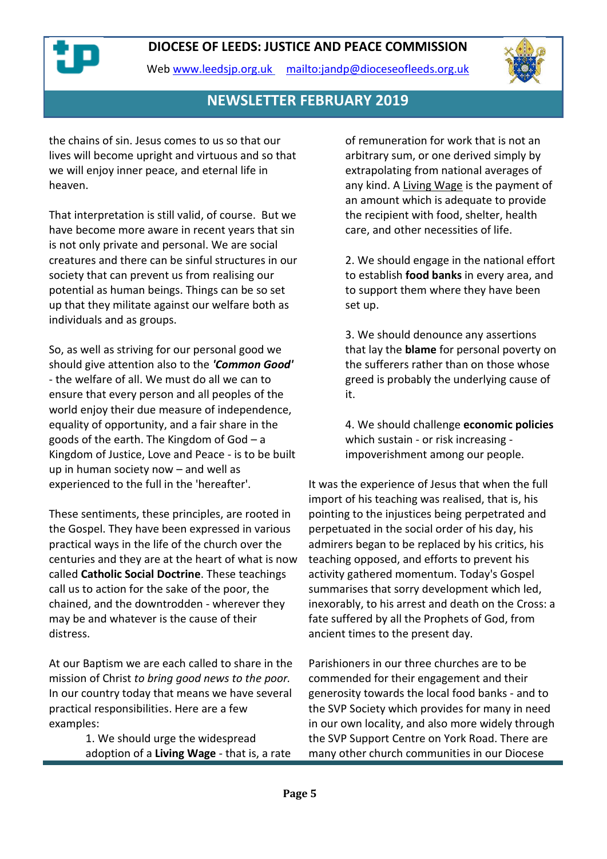



#### **NEWSLETTER FEBRUARY 2019**

the chains of sin. Jesus comes to us so that our lives will become upright and virtuous and so that we will enjoy inner peace, and eternal life in heaven.

That interpretation is still valid, of course. But we have become more aware in recent years that sin is not only private and personal. We are social creatures and there can be sinful structures in our society that can prevent us from realising our potential as human beings. Things can be so set up that they militate against our welfare both as individuals and as groups.

So, as well as striving for our personal good we should give attention also to the *'Common Good'* - the welfare of all. We must do all we can to ensure that every person and all peoples of the world enjoy their due measure of independence, equality of opportunity, and a fair share in the goods of the earth. The Kingdom of God – a Kingdom of Justice, Love and Peace - is to be built up in human society now – and well as experienced to the full in the 'hereafter'.

These sentiments, these principles, are rooted in the Gospel. They have been expressed in various practical ways in the life of the church over the centuries and they are at the heart of what is now called **Catholic Social Doctrine**. These teachings call us to action for the sake of the poor, the chained, and the downtrodden - wherever they may be and whatever is the cause of their distress.

At our Baptism we are each called to share in the mission of Christ *to bring good news to the poor.* In our country today that means we have several practical responsibilities. Here are a few examples:

> 1. We should urge the widespread adoption of a **Living Wage** - that is, a rate

of remuneration for work that is not an arbitrary sum, or one derived simply by extrapolating from national averages of any kind. A Living Wage is the payment of an amount which is adequate to provide the recipient with food, shelter, health care, and other necessities of life.

2. We should engage in the national effort to establish **food banks** in every area, and to support them where they have been set up.

3. We should denounce any assertions that lay the **blame** for personal poverty on the sufferers rather than on those whose greed is probably the underlying cause of it.

4. We should challenge **economic policies** which sustain - or risk increasing impoverishment among our people.

It was the experience of Jesus that when the full import of his teaching was realised, that is, his pointing to the injustices being perpetrated and perpetuated in the social order of his day, his admirers began to be replaced by his critics, his teaching opposed, and efforts to prevent his activity gathered momentum. Today's Gospel summarises that sorry development which led, inexorably, to his arrest and death on the Cross: a fate suffered by all the Prophets of God, from ancient times to the present day.

Parishioners in our three churches are to be commended for their engagement and their generosity towards the local food banks - and to the SVP Society which provides for many in need in our own locality, and also more widely through the SVP Support Centre on York Road. There are many other church communities in our Diocese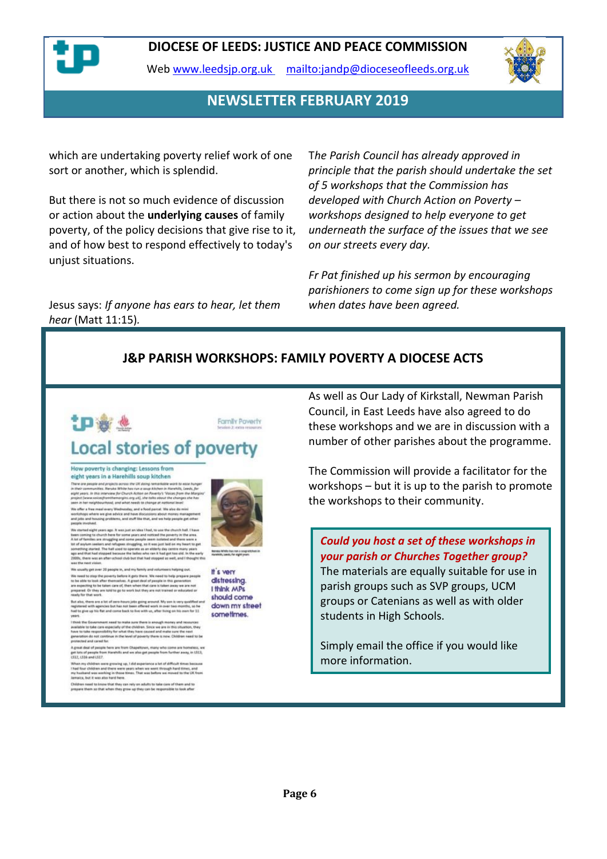

Web [www.leedsjp.org.uk](http://www.leedsjp.org.uk/) <mailto:jandp@dioceseofleeds.org.uk>



#### **NEWSLETTER FEBRUARY 2019**

which are undertaking poverty relief work of one sort or another, which is splendid.

But there is not so much evidence of discussion or action about the **underlying causes** of family poverty, of the policy decisions that give rise to it, and of how best to respond effectively to today's unjust situations.

Jesus says: *If anyone has ears to hear, let them hear* (Matt 11:15)*.*

T*he Parish Council has already approved in principle that the parish should undertake the set of 5 workshops that the Commission has developed with Church Action on Poverty – workshops designed to help everyone to get underneath the surface of the issues that we see on our streets every day.*

*Fr Pat finished up his sermon by encouraging parishioners to come sign up for these workshops when dates have been agreed.*

#### **J&P PARISH WORKSHOPS: FAMILY POVERTY A DIOCESE ACTS**



#### How poverty is changing: Lessons from eight years in a Harehills soup kitchen

.<br>here are people and projects across the UK doing remark.<br>Libelr communities. Nemits White has run a sour Elisher. i their seammaintens, hemsele throat heat new is easy Katalana in Hersey, Lewis.<br>Ight years, de this stopperies for Church Action on Paventy's "Voices from the M<br>expect (www.neicesfrembhemargins.org.uk), she falls shoult t eignbourhood, and what needs to change at national level<br>we meal every Wesheedley, and a Nood paired. We also<br>there we give adsice and have discotsions about money manix<br>I housing problems, and stuff like that, and we help

ements<br>midlelight years age. It wes just an idea I had, to use the church hall. I have<br>minight to tharth there for some year and noticed the proverly in the area<br>function set struggling and some people seem isolated and th

lands, the har used to uperate as an ensury any centre many<br>had stopped because the laties who ran it had got tee cld, is<br>was an after ishoul club but that had stopped as well, and it : next vision.<br>ally get over 20 people in, and my family and vo

We usually get outer 20 phospite in, and my darring and students in Indians of the same part.<br>We need to stop the prompt lefter it gets there. We need to help prepare people<br>to the able to book after thermalene. A gets de

.<br>Lot also, there are a lot of cere-hours jobs going around. My sen is very qualified .<br>agintered with agencies but has not been offered work in over two months, so he<br>set to give up his flat and cerne back to live with us

.<br>In Government need to make sure there is enough mome and<br>lake requiredbility for what they have caused and make sure th<br>ake requiredbility for what they have caused and make sure th ue in the level of poverty there is now. Ch tion de not conte<br>tel and cared for

it deal of people ferm are from Chapellown, many who come<br>to of people from Harehift: and we also get people from furth<br>CDS and CD2?

LS36 and LS17.<br>Fry Oldsban ware growing up, I did asperience a lot of difficult times because<br>Your Oldsban and there were years when we went through hurd Stree, and<br>ultard use working in those three. That was before we mov

the mead to know that they can rely on adults to take care of them and to<br>se them so that when they ensw up they can be required in took after



It's very distressing. I think MPs should come down my street sometimes.

As well as Our Lady of Kirkstall, Newman Parish Council, in East Leeds have also agreed to do these workshops and we are in discussion with a number of other parishes about the programme.

The Commission will provide a facilitator for the workshops – but it is up to the parish to promote the workshops to their community.

*Could you host a set of these workshops in your parish or Churches Together group?* The materials are equally suitable for use in parish groups such as SVP groups, UCM groups or Catenians as well as with older students in High Schools.

Simply email the office if you would like more information.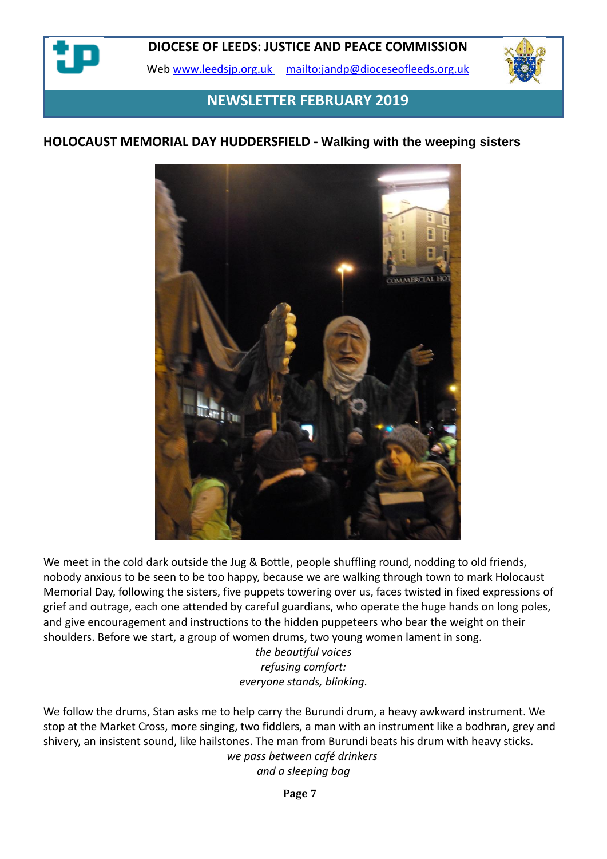

Web [www.leedsjp.org.uk](http://www.leedsjp.org.uk/) <mailto:jandp@dioceseofleeds.org.uk>



## **NEWSLETTER FEBRUARY 2019**

#### **HOLOCAUST MEMORIAL DAY HUDDERSFIELD - Walking with the weeping sisters**



We meet in the cold dark outside the Jug & Bottle, people shuffling round, nodding to old friends, nobody anxious to be seen to be too happy, because we are walking through town to mark Holocaust Memorial Day, following the sisters, five puppets towering over us, faces twisted in fixed expressions of grief and outrage, each one attended by careful guardians, who operate the huge hands on long poles, and give encouragement and instructions to the hidden puppeteers who bear the weight on their shoulders. Before we start, a group of women drums, two young women lament in song.

> *the beautiful voices refusing comfort: everyone stands, blinking.*

We follow the drums, Stan asks me to help carry the Burundi drum, a heavy awkward instrument. We stop at the Market Cross, more singing, two fiddlers, a man with an instrument like a bodhran, grey and shivery, an insistent sound, like hailstones. The man from Burundi beats his drum with heavy sticks. *we pass between café drinkers and a sleeping bag*

**Page 7**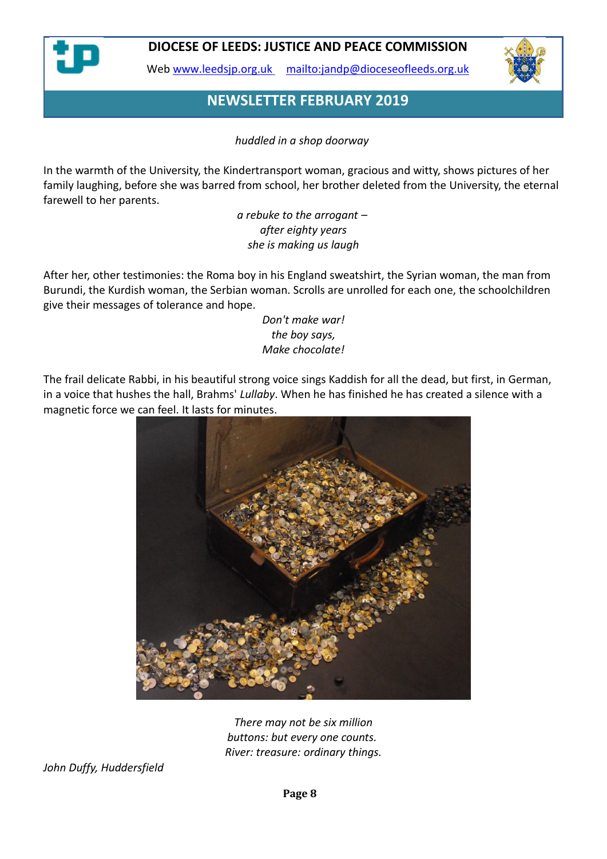

Web [www.leedsjp.org.uk](http://www.leedsjp.org.uk/) <mailto:jandp@dioceseofleeds.org.uk>



## **NEWSLETTER FEBRUARY 2019**

*huddled in a shop doorway*

In the warmth of the University, the Kindertransport woman, gracious and witty, shows pictures of her family laughing, before she was barred from school, her brother deleted from the University, the eternal farewell to her parents.

> *a rebuke to the arrogant – after eighty years she is making us laugh*

After her, other testimonies: the Roma boy in his England sweatshirt, the Syrian woman, the man from Burundi, the Kurdish woman, the Serbian woman. Scrolls are unrolled for each one, the schoolchildren give their messages of tolerance and hope.

*Don't make war! the boy says, Make chocolate!*

The frail delicate Rabbi, in his beautiful strong voice sings Kaddish for all the dead, but first, in German, in a voice that hushes the hall, Brahms' *Lullaby*. When he has finished he has created a silence with a magnetic force we can feel. It lasts for minutes.



*There may not be six million buttons: but every one counts. River: treasure: ordinary things.*

*John Duffy, Huddersfield*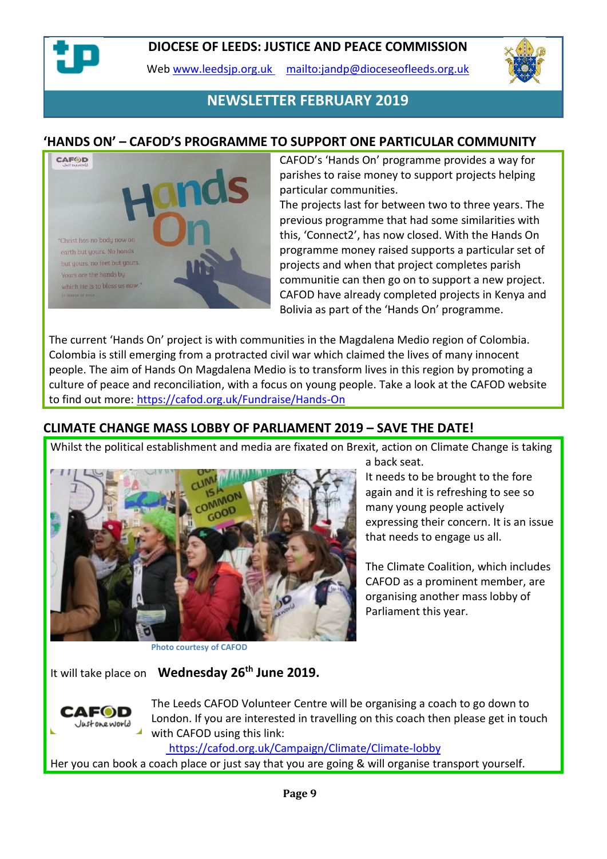

Web [www.leedsjp.org.uk](http://www.leedsjp.org.uk/) <mailto:jandp@dioceseofleeds.org.uk>



## **NEWSLETTER FEBRUARY 2019**

#### **'HANDS ON' – CAFOD'S PROGRAMME TO SUPPORT ONE PARTICULAR COMMUNITY**



CAFOD's 'Hands On' programme provides a way for parishes to raise money to support projects helping particular communities.

The projects last for between two to three years. The previous programme that had some similarities with this, 'Connect2', has now closed. With the Hands On programme money raised supports a particular set of projects and when that project completes parish communitie can then go on to support a new project. CAFOD have already completed projects in Kenya and Bolivia as part of the 'Hands On' programme.

The current 'Hands On' project is with communities in the Magdalena Medio region of Colombia. Colombia is still emerging from a protracted civil war which claimed the lives of many innocent people. The aim of Hands On Magdalena Medio is to transform lives in this region by promoting a culture of peace and reconciliation, with a focus on young people. Take a look at the CAFOD website to find out more:<https://cafod.org.uk/Fundraise/Hands-On>

#### **CLIMATE CHANGE MASS LOBBY OF PARLIAMENT 2019 – SAVE THE DATE!**

Whilst the political establishment and media are fixated on Brexit, action on Climate Change is taking



a back seat.

It needs to be brought to the fore again and it is refreshing to see so many young people actively expressing their concern. It is an issue that needs to engage us all.

The Climate Coalition, which includes CAFOD as a prominent member, are organising another mass lobby of Parliament this year.

**Photo courtesy of CAFOD**

It will take place on **Wednesday 26th June 2019.**



The Leeds CAFOD Volunteer Centre will be organising a coach to go down to London. If you are interested in travelling on this coach then please get in touch with CAFOD using this link:

<https://cafod.org.uk/Campaign/Climate/Climate-lobby>

Her you can book a coach place or just say that you are going & will organise transport yourself.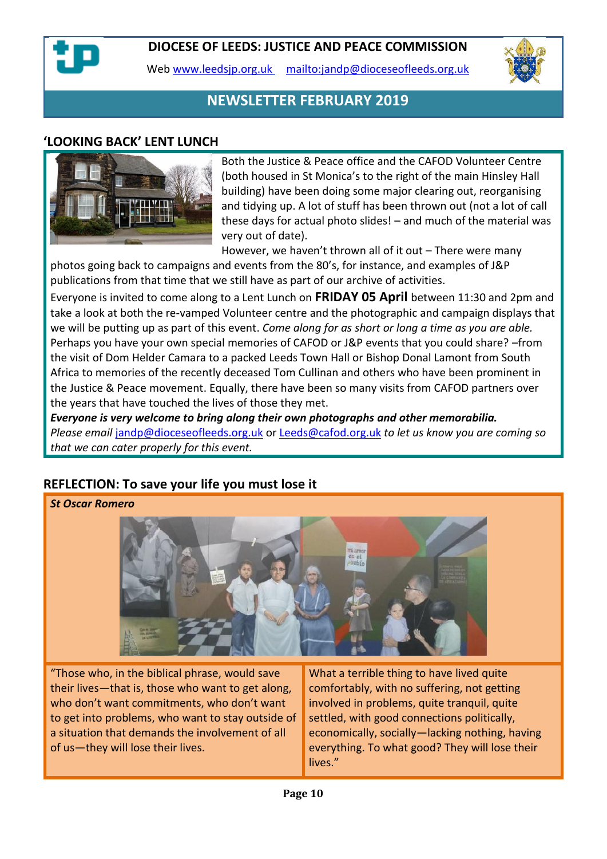

Web [www.leedsjp.org.uk](http://www.leedsjp.org.uk/) <mailto:jandp@dioceseofleeds.org.uk>



## **NEWSLETTER FEBRUARY 2019**

#### **'LOOKING BACK' LENT LUNCH**



Both the Justice & Peace office and the CAFOD Volunteer Centre (both housed in St Monica's to the right of the main Hinsley Hall building) have been doing some major clearing out, reorganising and tidying up. A lot of stuff has been thrown out (not a lot of call these days for actual photo slides! – and much of the material was very out of date).

However, we haven't thrown all of it out – There were many photos going back to campaigns and events from the 80's, for instance, and examples of J&P publications from that time that we still have as part of our archive of activities.

Everyone is invited to come along to a Lent Lunch on **FRIDAY 05 April** between 11:30 and 2pm and take a look at both the re-vamped Volunteer centre and the photographic and campaign displays that we will be putting up as part of this event. *Come along for as short or long a time as you are able.* Perhaps you have your own special memories of CAFOD or J&P events that you could share? –from the visit of Dom Helder Camara to a packed Leeds Town Hall or Bishop Donal Lamont from South Africa to memories of the recently deceased Tom Cullinan and others who have been prominent in the Justice & Peace movement. Equally, there have been so many visits from CAFOD partners over the years that have touched the lives of those they met.

*Everyone is very welcome to bring along their own photographs and other memorabilia. Please email* [jandp@dioceseofleeds.org.uk](mailto:jandp@dioceseofleeds.org.uk) or [Leeds@cafod.org.uk](mailto:Leeds@cafod.org.uk) *to let us know you are coming so that we can cater properly for this event.*

#### **REFLECTION: To save your life you must lose it**

*St Oscar Romero*



"Those who, in the biblical phrase, would save their lives—that is, those who want to get along, who don't want commitments, who don't want to get into problems, who want to stay outside of a situation that demands the involvement of all of us—they will lose their lives.

What a terrible thing to have lived quite comfortably, with no suffering, not getting involved in problems, quite tranquil, quite settled, with good connections politically, economically, socially—lacking nothing, having everything. To what good? They will lose their lives."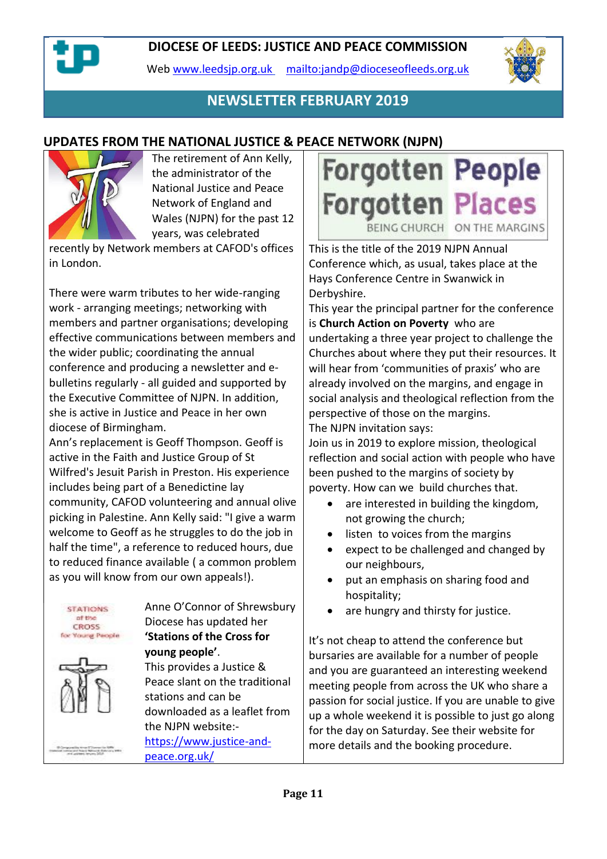Web [www.leedsjp.org.uk](http://www.leedsjp.org.uk/) <mailto:jandp@dioceseofleeds.org.uk>



# **NEWSLETTER FEBRUARY 2019**

## **UPDATES FROM THE NATIONAL JUSTICE & PEACE NETWORK (NJPN)**



The retirement of Ann Kelly, the administrator of the National Justice and Peace Network of England and Wales (NJPN) for the past 12 years, was celebrated

recently by Network members at CAFOD's offices in London.

There were warm tributes to her wide-ranging work - arranging meetings; networking with members and partner organisations; developing effective communications between members and the wider public; coordinating the annual conference and producing a newsletter and ebulletins regularly - all guided and supported by the Executive Committee of NJPN. In addition, she is active in Justice and Peace in her own diocese of Birmingham.

Ann's replacement is Geoff Thompson. Geoff is active in the Faith and Justice Group of St Wilfred's Jesuit Parish in Preston. His experience includes being part of a Benedictine lay community, CAFOD volunteering and annual olive picking in Palestine. Ann Kelly said: "I give a warm welcome to Geoff as he struggles to do the job in half the time", a reference to reduced hours, due to reduced finance available ( a common problem as you will know from our own appeals!).





Anne O'Connor of Shrewsbury Diocese has updated her **'Stations of the Cross for young people'**.

This provides a Justice & Peace slant on the traditional stations and can be downloaded as a leaflet from the NJPN website:-

[https://www.justice-and](https://www.justice-and-peace.org.uk/)[peace.org.uk/](https://www.justice-and-peace.org.uk/)



This is the title of the 2019 NJPN Annual Conference which, as usual, takes place at the Hays Conference Centre in Swanwick in Derbyshire.

This year the principal partner for the conference is **Church Action on Poverty** who are undertaking a three year project to challenge the Churches about where they put their resources. It will hear from 'communities of praxis' who are already involved on the margins, and engage in social analysis and theological reflection from the perspective of those on the margins. The NJPN invitation says:

Join us in 2019 to explore mission, theological reflection and social action with people who have been pushed to the margins of society by poverty. How can we build churches that.

- are interested in building the kingdom, not growing the church;
- listen to voices from the margins
- expect to be challenged and changed by our neighbours,
- put an emphasis on sharing food and hospitality;
- are hungry and thirsty for justice.

It's not cheap to attend the conference but bursaries are available for a number of people and you are guaranteed an interesting weekend meeting people from across the UK who share a passion for social justice. If you are unable to give up a whole weekend it is possible to just go along for the day on Saturday. See their website for more details and the booking procedure.